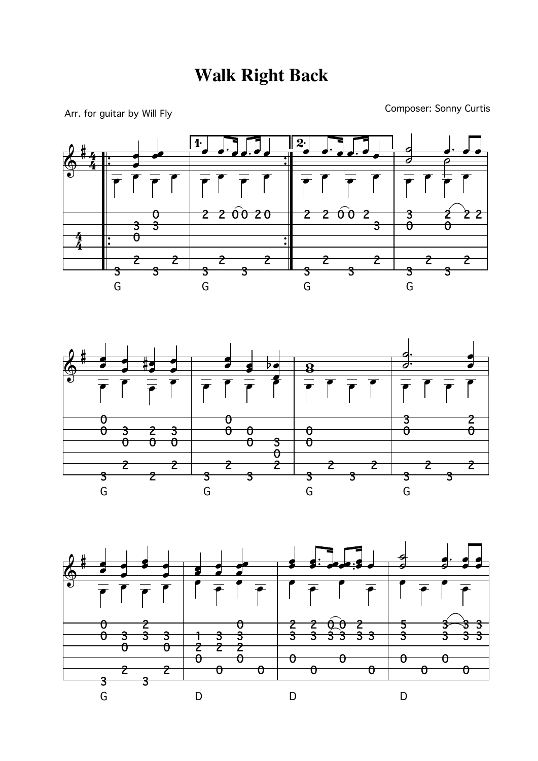Arr. for guitar by Will Fly

Composer: Sonny Curtis



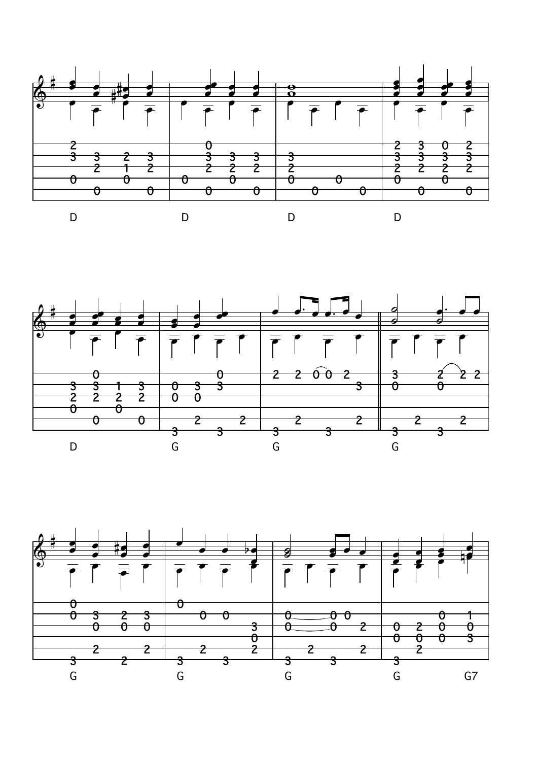